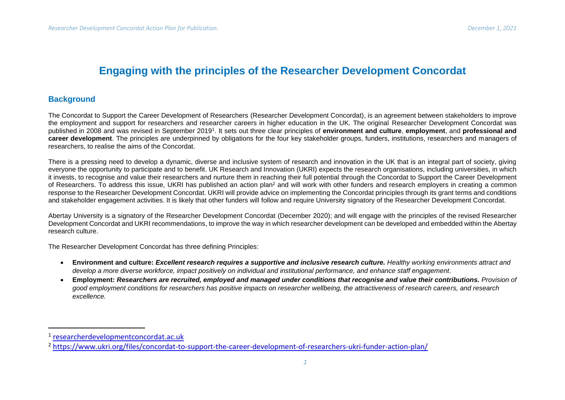## **Engaging with the principles of the Researcher Development Concordat**

## **Background**

The Concordat to Support the Career Development of Researchers (Researcher Development Concordat), is an agreement between stakeholders to improve the employment and support for researchers and researcher careers in higher education in the UK. The original Researcher Development Concordat was published in 2008 and was revised in September 2019<sup>1</sup>. It sets out three clear principles of **environment and culture**, **employment**, and **professional and career development**. The principles are underpinned by obligations for the four key stakeholder groups, funders, institutions, researchers and managers of researchers, to realise the aims of the Concordat.

There is a pressing need to develop a dynamic, diverse and inclusive system of research and innovation in the UK that is an integral part of society, giving everyone the opportunity to participate and to benefit. UK Research and Innovation (UKRI) expects the research organisations, including universities, in which it invests, to recognise and value their researchers and nurture them in reaching their full potential through the Concordat to Support the Career Development of Researchers. To address this issue, UKRI has published an action plan<sup>2</sup> and will work with other funders and research employers in creating a common response to the Researcher Development Concordat. UKRI will provide advice on implementing the Concordat principles through its grant terms and conditions and stakeholder engagement activities. It is likely that other funders will follow and require University signatory of the Researcher Development Concordat.

Abertay University is a signatory of the Researcher Development Concordat (December 2020); and will engage with the principles of the revised Researcher Development Concordat and UKRI recommendations, to improve the way in which researcher development can be developed and embedded within the Abertay research culture.

The Researcher Development Concordat has three defining Principles:

- **Environment and culture:** *Excellent research requires a supportive and inclusive research culture. Healthy working environments attract and develop a more diverse workforce, impact positively on individual and institutional performance, and enhance staff engagement.*
- **Employment:** *Researchers are recruited, employed and managed under conditions that recognise and value their contributions. Provision of good employment conditions for researchers has positive impacts on researcher wellbeing, the attractiveness of research careers, and research excellence.*

<sup>1</sup> [researcherdevelopmentconcordat.](https://researcherdevelopmentconcordat.ac.uk/)ac.uk

<sup>2</sup> <https://www.ukri.org/files/concordat-to-support-the-career-development-of-researchers-ukri-funder-action-plan/>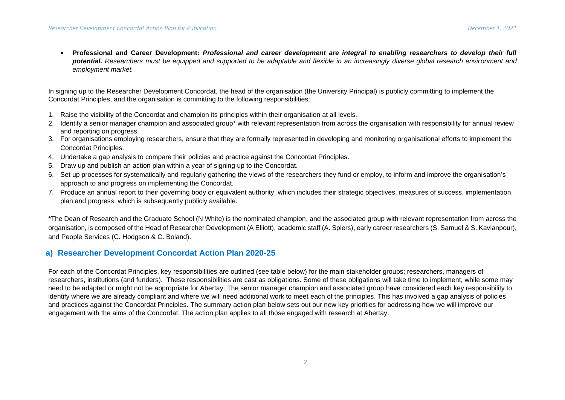• **Professional and Career Development:** *Professional and career development are integral to enabling researchers to develop their full potential. Researchers must be equipped and supported to be adaptable and flexible in an increasingly diverse global research environment and employment market.*

In signing up to the Researcher Development Concordat, the head of the organisation (the University Principal) is publicly committing to implement the Concordat Principles, and the organisation is committing to the following responsibilities:

- 1. Raise the visibility of the Concordat and champion its principles within their organisation at all levels.
- 2. Identify a senior manager champion and associated group\* with relevant representation from across the organisation with responsibility for annual review and reporting on progress.
- 3. For organisations employing researchers, ensure that they are formally represented in developing and monitoring organisational efforts to implement the Concordat Principles.
- 4. Undertake a gap analysis to compare their policies and practice against the Concordat Principles.
- 5. Draw up and publish an action plan within a year of signing up to the Concordat.
- 6. Set up processes for systematically and regularly gathering the views of the researchers they fund or employ, to inform and improve the organisation's approach to and progress on implementing the Concordat.
- 7. Produce an annual report to their governing body or equivalent authority, which includes their strategic objectives, measures of success, implementation plan and progress, which is subsequently publicly available.

\*The Dean of Research and the Graduate School (N White) is the nominated champion, and the associated group with relevant representation from across the organisation, is composed of the Head of Researcher Development (A Elliott), academic staff (A. Spiers), early career researchers (S. Samuel & S. Kavianpour), and People Services (C. Hodgson & C. Boland).

## **a) Researcher Development Concordat Action Plan 2020-25**

For each of the Concordat Principles, key responsibilities are outlined (see table below) for the main stakeholder groups; researchers, managers of researchers, institutions (and funders). These responsibilities are cast as obligations. Some of these obligations will take time to implement, while some may need to be adapted or might not be appropriate for Abertay. The senior manager champion and associated group have considered each key responsibility to identify where we are already compliant and where we will need additional work to meet each of the principles. This has involved a gap analysis of policies and practices against the Concordat Principles. The summary action plan below sets out our new key priorities for addressing how we will improve our engagement with the aims of the Concordat. The action plan applies to all those engaged with research at Abertay.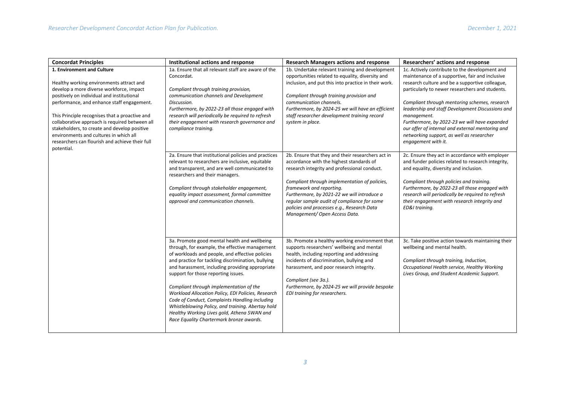| <b>Concordat Principles</b>                                                                                                                                                                                                                                                                                                                                                                                                                                                   | Institutional actions and response                                                                                                                                                                                                                                                                                                                                                                                                                                                                                                                                                                   | <b>Research Managers actions and response</b>                                                                                                                                                                                                                                                                                                                                                           | Researchers' actions and response                                                                                                                                                                                                                                                                                                                                                                                                                                                                    |
|-------------------------------------------------------------------------------------------------------------------------------------------------------------------------------------------------------------------------------------------------------------------------------------------------------------------------------------------------------------------------------------------------------------------------------------------------------------------------------|------------------------------------------------------------------------------------------------------------------------------------------------------------------------------------------------------------------------------------------------------------------------------------------------------------------------------------------------------------------------------------------------------------------------------------------------------------------------------------------------------------------------------------------------------------------------------------------------------|---------------------------------------------------------------------------------------------------------------------------------------------------------------------------------------------------------------------------------------------------------------------------------------------------------------------------------------------------------------------------------------------------------|------------------------------------------------------------------------------------------------------------------------------------------------------------------------------------------------------------------------------------------------------------------------------------------------------------------------------------------------------------------------------------------------------------------------------------------------------------------------------------------------------|
| 1. Environment and Culture<br>Healthy working environments attract and<br>develop a more diverse workforce, impact<br>positively on individual and institutional<br>performance, and enhance staff engagement.<br>This Principle recognises that a proactive and<br>collaborative approach is required between all<br>stakeholders, to create and develop positive<br>environments and cultures in which all<br>researchers can flourish and achieve their full<br>potential. | 1a. Ensure that all relevant staff are aware of the<br>Concordat.<br>Compliant through training provision,<br>communication channels and Development<br>Discussion.<br>Furthermore, by 2022-23 all those engaged with<br>research will periodically be required to refresh<br>their engagement with research governance and<br>compliance training.                                                                                                                                                                                                                                                  | 1b. Undertake relevant training and development<br>opportunities related to equality, diversity and<br>inclusion, and put this into practice in their work.<br>Compliant through training provision and<br>communication channels.<br>Furthermore, by 2024-25 we will have an efficient<br>staff researcher development training record<br>system in place.                                             | 1c. Actively contribute to the development and<br>maintenance of a supportive, fair and inclusive<br>research culture and be a supportive colleague,<br>particularly to newer researchers and students.<br>Compliant through mentoring schemes, research<br>leadership and staff Development Discussions and<br>management.<br>Furthermore, by 2022-23 we will have expanded<br>our offer of internal and external mentoring and<br>networking support, as well as researcher<br>engagement with it. |
|                                                                                                                                                                                                                                                                                                                                                                                                                                                                               | 2a. Ensure that institutional policies and practices<br>relevant to researchers are inclusive, equitable<br>and transparent, and are well communicated to<br>researchers and their managers.<br>Compliant through stakeholder engagement,<br>equality impact assessment, formal committee<br>approval and communication channels.                                                                                                                                                                                                                                                                    | 2b. Ensure that they and their researchers act in<br>accordance with the highest standards of<br>research integrity and professional conduct.<br>Compliant through implementation of policies,<br>framework and reporting.<br>Furthermore, by 2021-22 we will introduce a<br>regular sample audit of compliance for some<br>policies and processes e.g., Research Data<br>Management/ Open Access Data. | 2c. Ensure they act in accordance with employer<br>and funder policies related to research integrity,<br>and equality, diversity and inclusion.<br>Compliant through policies and training.<br>Furthermore, by 2022-23 all those engaged with<br>research will periodically be required to refresh<br>their engagement with research integrity and<br>ED&I training.                                                                                                                                 |
|                                                                                                                                                                                                                                                                                                                                                                                                                                                                               | 3a. Promote good mental health and wellbeing<br>through, for example, the effective management<br>of workloads and people, and effective policies<br>and practice for tackling discrimination, bullying<br>and harassment, including providing appropriate<br>support for those reporting issues.<br>Compliant through implementation of the<br>Workload Allocation Policy, EDI Policies, Research<br>Code of Conduct, Complaints Handling including<br>Whistleblowing Policy, and training. Abertay hold<br>Healthy Working Lives gold, Athena SWAN and<br>Race Equality Chartermark bronze awards. | 3b. Promote a healthy working environment that<br>supports researchers' wellbeing and mental<br>health, including reporting and addressing<br>incidents of discrimination, bullying and<br>harassment, and poor research integrity.<br>Compliant (see 3a.).<br>Furthermore, by 2024-25 we will provide bespoke<br>EDI training for researchers.                                                         | 3c. Take positive action towards maintaining their<br>wellbeing and mental health.<br>Compliant through training, Induction,<br>Occupational Health service, Healthy Working<br>Lives Group, and Student Academic Support.                                                                                                                                                                                                                                                                           |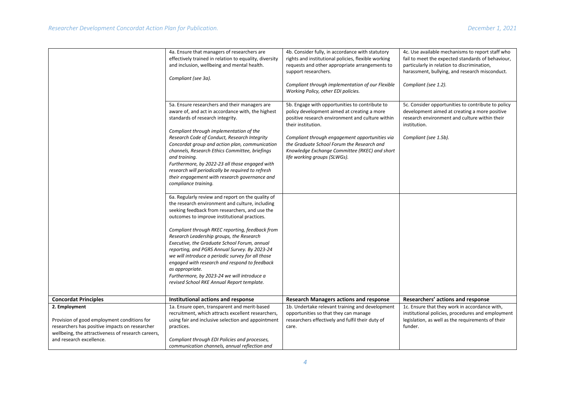|                                                                                                      | 4a. Ensure that managers of researchers are<br>effectively trained in relation to equality, diversity<br>and inclusion, wellbeing and mental health.<br>Compliant (see 3a).                                                                                                                                           | 4b. Consider fully, in accordance with statutory<br>rights and institutional policies, flexible working<br>requests and other appropriate arrangements to<br>support researchers.<br>Compliant through implementation of our Flexible<br>Working Policy, other EDI policies. | 4c. Use available mechanisms to report staff who<br>fail to meet the expected standards of behaviour,<br>particularly in relation to discrimination,<br>harassment, bullying, and research misconduct.<br>Compliant (see 1.2). |
|------------------------------------------------------------------------------------------------------|-----------------------------------------------------------------------------------------------------------------------------------------------------------------------------------------------------------------------------------------------------------------------------------------------------------------------|------------------------------------------------------------------------------------------------------------------------------------------------------------------------------------------------------------------------------------------------------------------------------|--------------------------------------------------------------------------------------------------------------------------------------------------------------------------------------------------------------------------------|
|                                                                                                      | 5a. Ensure researchers and their managers are<br>aware of, and act in accordance with, the highest<br>standards of research integrity.<br>Compliant through implementation of the<br>Research Code of Conduct, Research Integrity                                                                                     | 5b. Engage with opportunities to contribute to<br>policy development aimed at creating a more<br>positive research environment and culture within<br>their institution.<br>Compliant through engagement opportunities via                                                    | 5c. Consider opportunities to contribute to policy<br>development aimed at creating a more positive<br>research environment and culture within their<br>institution.<br>Compliant (see 1.5b).                                  |
|                                                                                                      | Concordat group and action plan, communication<br>channels, Research Ethics Committee, briefings<br>and training.<br>Furthermore, by 2022-23 all those engaged with<br>research will periodically be required to refresh<br>their engagement with research governance and<br>compliance training.                     | the Graduate School Forum the Research and<br>Knowledge Exchange Committee (RKEC) and short<br>life working groups (SLWGs).                                                                                                                                                  |                                                                                                                                                                                                                                |
|                                                                                                      | 6a. Regularly review and report on the quality of<br>the research environment and culture, including<br>seeking feedback from researchers, and use the<br>outcomes to improve institutional practices.                                                                                                                |                                                                                                                                                                                                                                                                              |                                                                                                                                                                                                                                |
|                                                                                                      | Compliant through RKEC reporting, feedback from<br>Research Leadership groups, the Research<br>Executive, the Graduate School Forum, annual<br>reporting, and PGRS Annual Survey. By 2023-24<br>we will introduce a periodic survey for all those<br>engaged with research and respond to feedback<br>as appropriate. |                                                                                                                                                                                                                                                                              |                                                                                                                                                                                                                                |
|                                                                                                      | Furthermore, by 2023-24 we will introduce a<br>revised School RKE Annual Report template.                                                                                                                                                                                                                             |                                                                                                                                                                                                                                                                              |                                                                                                                                                                                                                                |
| <b>Concordat Principles</b>                                                                          | Institutional actions and response                                                                                                                                                                                                                                                                                    | <b>Research Managers actions and response</b>                                                                                                                                                                                                                                | Researchers' actions and response                                                                                                                                                                                              |
| 2. Employment<br>Provision of good employment conditions for                                         | 1a. Ensure open, transparent and merit-based<br>recruitment, which attracts excellent researchers,<br>using fair and inclusive selection and appointment                                                                                                                                                              | 1b. Undertake relevant training and development<br>opportunities so that they can manage<br>researchers effectively and fulfil their duty of                                                                                                                                 | 1c. Ensure that they work in accordance with,<br>institutional policies, procedures and employment<br>legislation, as well as the requirements of their                                                                        |
| researchers has positive impacts on researcher<br>wellbeing, the attractiveness of research careers, | practices.                                                                                                                                                                                                                                                                                                            | care.                                                                                                                                                                                                                                                                        | funder.                                                                                                                                                                                                                        |
| and research excellence.                                                                             | Compliant through EDI Policies and processes,<br>communication channels, annual reflection and                                                                                                                                                                                                                        |                                                                                                                                                                                                                                                                              |                                                                                                                                                                                                                                |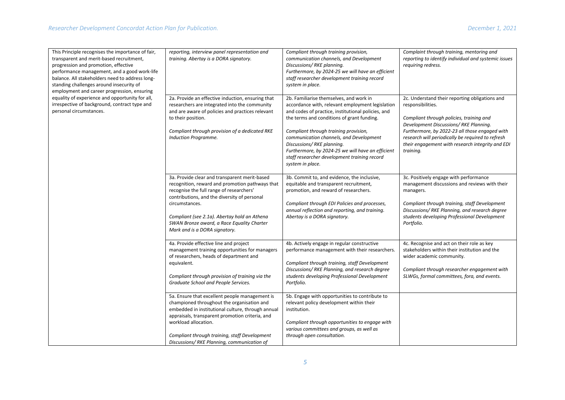| This Principle recognises the importance of fair,<br>transparent and merit-based recruitment,<br>progression and promotion, effective<br>performance management, and a good work-life<br>balance. All stakeholders need to address long-<br>standing challenges around insecurity of<br>employment and career progression, ensuring<br>equality of experience and opportunity for all,<br>irrespective of background, contract type and<br>personal circumstances. | reporting, interview panel representation and<br>training. Abertay is a DORA signatory.                                                                                                                                                                                                                                                       | Compliant through training provision,<br>communication channels, and Development<br>Discussions/RKE planning.<br>Furthermore, by 2024-25 we will have an efficient<br>staff researcher development training record<br>system in place.                                                                                                                                                                                                    | Complaint through training, mentoring and<br>reporting to identify individual and systemic issues<br>requiring redress.                                                                                                                                                                                                          |
|--------------------------------------------------------------------------------------------------------------------------------------------------------------------------------------------------------------------------------------------------------------------------------------------------------------------------------------------------------------------------------------------------------------------------------------------------------------------|-----------------------------------------------------------------------------------------------------------------------------------------------------------------------------------------------------------------------------------------------------------------------------------------------------------------------------------------------|-------------------------------------------------------------------------------------------------------------------------------------------------------------------------------------------------------------------------------------------------------------------------------------------------------------------------------------------------------------------------------------------------------------------------------------------|----------------------------------------------------------------------------------------------------------------------------------------------------------------------------------------------------------------------------------------------------------------------------------------------------------------------------------|
|                                                                                                                                                                                                                                                                                                                                                                                                                                                                    | 2a. Provide an effective induction, ensuring that<br>researchers are integrated into the community<br>and are aware of policies and practices relevant<br>to their position.<br>Compliant through provision of a dedicated RKE<br>Induction Programme.                                                                                        | 2b. Familiarise themselves, and work in<br>accordance with, relevant employment legislation<br>and codes of practice, institutional policies, and<br>the terms and conditions of grant funding.<br>Compliant through training provision,<br>communication channels, and Development<br>Discussions/RKE planning.<br>Furthermore, by 2024-25 we will have an efficient<br>staff researcher development training record<br>system in place. | 2c. Understand their reporting obligations and<br>responsibilities.<br>Compliant through policies, training and<br>Development Discussions/RKE Planning.<br>Furthermore, by 2022-23 all those engaged with<br>research will periodically be required to refresh<br>their engagement with research integrity and EDI<br>training. |
|                                                                                                                                                                                                                                                                                                                                                                                                                                                                    | 3a. Provide clear and transparent merit-based<br>recognition, reward and promotion pathways that<br>recognise the full range of researchers'<br>contributions, and the diversity of personal<br>circumstances.<br>Compliant (see 2.1a). Abertay hold an Athena<br>SWAN Bronze award, a Race Equality Charter<br>Mark and is a DORA signatory. | 3b. Commit to, and evidence, the inclusive,<br>equitable and transparent recruitment,<br>promotion, and reward of researchers.<br>Compliant through EDI Policies and processes,<br>annual reflection and reporting, and training.<br>Abertay is a DORA signatory.                                                                                                                                                                         | 3c. Positively engage with performance<br>management discussions and reviews with their<br>managers.<br>Compliant through training, staff Development<br>Discussions/RKE Planning, and research degree<br>students developing Professional Development<br>Portfolio.                                                             |
|                                                                                                                                                                                                                                                                                                                                                                                                                                                                    | 4a. Provide effective line and project<br>management training opportunities for managers<br>of researchers, heads of department and<br>equivalent.<br>Compliant through provision of training via the<br>Graduate School and People Services.                                                                                                 | 4b. Actively engage in regular constructive<br>performance management with their researchers.<br>Compliant through training, staff Development<br>Discussions/ RKE Planning, and research degree<br>students developing Professional Development<br>Portfolio.                                                                                                                                                                            | 4c. Recognise and act on their role as key<br>stakeholders within their institution and the<br>wider academic community.<br>Compliant through researcher engagement with<br>SLWGs, formal committees, fora, and events.                                                                                                          |
|                                                                                                                                                                                                                                                                                                                                                                                                                                                                    | 5a. Ensure that excellent people management is<br>championed throughout the organisation and<br>embedded in institutional culture, through annual<br>appraisals, transparent promotion criteria, and<br>workload allocation.<br>Compliant through training, staff Development<br>Discussions/ RKE Planning, communication of                  | 5b. Engage with opportunities to contribute to<br>relevant policy development within their<br>institution.<br>Compliant through opportunities to engage with<br>various committees and groups, as well as<br>through open consultation.                                                                                                                                                                                                   |                                                                                                                                                                                                                                                                                                                                  |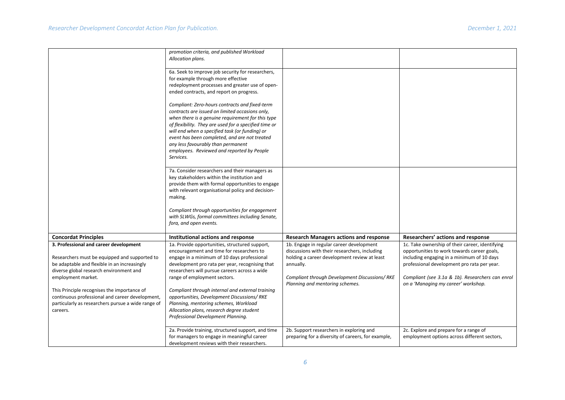|                                                                                                                                                                                                          | promotion criteria, and published Workload<br>Allocation plans.                                                                                                                                                                                                                                                                                                                                                     |                                                                                                                                                                                                                                            |                                                                                                                                                                                                                                                                                        |
|----------------------------------------------------------------------------------------------------------------------------------------------------------------------------------------------------------|---------------------------------------------------------------------------------------------------------------------------------------------------------------------------------------------------------------------------------------------------------------------------------------------------------------------------------------------------------------------------------------------------------------------|--------------------------------------------------------------------------------------------------------------------------------------------------------------------------------------------------------------------------------------------|----------------------------------------------------------------------------------------------------------------------------------------------------------------------------------------------------------------------------------------------------------------------------------------|
|                                                                                                                                                                                                          | 6a. Seek to improve job security for researchers,<br>for example through more effective<br>redeployment processes and greater use of open-<br>ended contracts, and report on progress.                                                                                                                                                                                                                              |                                                                                                                                                                                                                                            |                                                                                                                                                                                                                                                                                        |
|                                                                                                                                                                                                          | Compliant: Zero-hours contracts and fixed-term<br>contracts are issued on limited occasions only,<br>when there is a genuine requirement for this type<br>of flexibility. They are used for a specified time or<br>will end when a specified task (or funding) or<br>event has been completed, and are not treated<br>any less favourably than permanent<br>employees. Reviewed and reported by People<br>Services. |                                                                                                                                                                                                                                            |                                                                                                                                                                                                                                                                                        |
|                                                                                                                                                                                                          | 7a. Consider researchers and their managers as<br>key stakeholders within the institution and<br>provide them with formal opportunities to engage<br>with relevant organisational policy and decision-<br>making.<br>Compliant through opportunities for engagement<br>with SLWGs, formal committees including Senate,                                                                                              |                                                                                                                                                                                                                                            |                                                                                                                                                                                                                                                                                        |
|                                                                                                                                                                                                          | fora, and open events.                                                                                                                                                                                                                                                                                                                                                                                              |                                                                                                                                                                                                                                            |                                                                                                                                                                                                                                                                                        |
| <b>Concordat Principles</b>                                                                                                                                                                              | Institutional actions and response                                                                                                                                                                                                                                                                                                                                                                                  | <b>Research Managers actions and response</b>                                                                                                                                                                                              | Researchers' actions and response                                                                                                                                                                                                                                                      |
| 3. Professional and career development<br>Researchers must be equipped and supported to<br>be adaptable and flexible in an increasingly<br>diverse global research environment and<br>employment market. | 1a. Provide opportunities, structured support,<br>encouragement and time for researchers to<br>engage in a minimum of 10 days professional<br>development pro rata per year, recognising that<br>researchers will pursue careers across a wide<br>range of employment sectors.                                                                                                                                      | 1b. Engage in regular career development<br>discussions with their researchers, including<br>holding a career development review at least<br>annually.<br>Compliant through Development Discussions/RKE<br>Planning and mentoring schemes. | 1c. Take ownership of their career, identifying<br>opportunities to work towards career goals,<br>including engaging in a minimum of 10 days<br>professional development pro rata per year.<br>Compliant (see 3.1a & 1b). Researchers can enrol<br>on a 'Managing my career' workshop. |
| This Principle recognises the importance of<br>continuous professional and career development,<br>particularly as researchers pursue a wide range of<br>careers.                                         | Compliant through internal and external training<br>opportunities, Development Discussions/RKE<br>Planning, mentoring schemes, Workload<br>Allocation plans, research degree student<br>Professional Development Planning.                                                                                                                                                                                          |                                                                                                                                                                                                                                            |                                                                                                                                                                                                                                                                                        |
|                                                                                                                                                                                                          | 2a. Provide training, structured support, and time<br>for managers to engage in meaningful career<br>development reviews with their researchers.                                                                                                                                                                                                                                                                    | 2b. Support researchers in exploring and<br>preparing for a diversity of careers, for example,                                                                                                                                             | 2c. Explore and prepare for a range of<br>employment options across different sectors,                                                                                                                                                                                                 |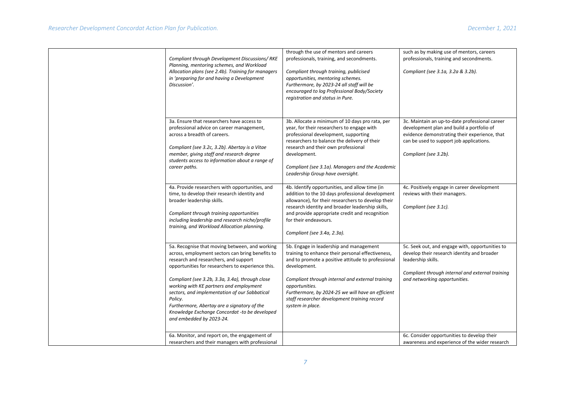| Compliant through Development Discussions/RKE<br>Planning, mentoring schemes, and Workload<br>Allocation plans (see 2.4b). Training for managers<br>in 'preparing for and having a Development<br>Discussion'.                                                                                                                                                                                                                                                                         | through the use of mentors and careers<br>professionals, training, and secondments.<br>Compliant through training, publicised<br>opportunities, mentoring schemes.<br>Furthermore, by 2023-24 all staff will be<br>encouraged to log Professional Body/Society<br>registration and status in Pure.                                                                | such as by making use of mentors, careers<br>professionals, training and secondments.<br>Compliant (see 3.1a, 3.2a & 3.2b).                                                                                       |
|----------------------------------------------------------------------------------------------------------------------------------------------------------------------------------------------------------------------------------------------------------------------------------------------------------------------------------------------------------------------------------------------------------------------------------------------------------------------------------------|-------------------------------------------------------------------------------------------------------------------------------------------------------------------------------------------------------------------------------------------------------------------------------------------------------------------------------------------------------------------|-------------------------------------------------------------------------------------------------------------------------------------------------------------------------------------------------------------------|
| 3a. Ensure that researchers have access to<br>professional advice on career management,<br>across a breadth of careers.<br>Compliant (see 3.2c, 3.2b). Abertay is a Vitae<br>member, giving staff and research degree<br>students access to information about a range of<br>career paths.                                                                                                                                                                                              | 3b. Allocate a minimum of 10 days pro rata, per<br>year, for their researchers to engage with<br>professional development, supporting<br>researchers to balance the delivery of their<br>research and their own professional<br>development.<br>Compliant (see 3.1a). Managers and the Academic<br>Leadership Group have oversight.                               | 3c. Maintain an up-to-date professional career<br>development plan and build a portfolio of<br>evidence demonstrating their experience, that<br>can be used to support job applications.<br>Compliant (see 3.2b). |
| 4a. Provide researchers with opportunities, and<br>time, to develop their research identity and<br>broader leadership skills.<br>Compliant through training opportunities<br>including leadership and research niche/profile<br>training, and Workload Allocation planning.                                                                                                                                                                                                            | 4b. Identify opportunities, and allow time (in<br>addition to the 10 days professional development<br>allowance), for their researchers to develop their<br>research identity and broader leadership skills,<br>and provide appropriate credit and recognition<br>for their endeavours.<br>Compliant (see 3.4a, 2.3a).                                            | 4c. Positively engage in career development<br>reviews with their managers.<br>Compliant (see 3.1c).                                                                                                              |
| 5a. Recognise that moving between, and working<br>across, employment sectors can bring benefits to<br>research and researchers, and support<br>opportunities for researchers to experience this.<br>Compliant (see 3.2b, 3.3a, 3.4a), through close<br>working with KE partners and employment<br>sectors, and implementation of our Sabbatical<br>Policy.<br>Furthermore, Abertay are a signatory of the<br>Knowledge Exchange Concordat -to be developed<br>and embedded by 2023-24. | 5b. Engage in leadership and management<br>training to enhance their personal effectiveness,<br>and to promote a positive attitude to professional<br>development.<br>Compliant through internal and external training<br>opportunities.<br>Furthermore, by 2024-25 we will have an efficient<br>staff researcher development training record<br>system in place. | 5c. Seek out, and engage with, opportunities to<br>develop their research identity and broader<br>leadership skills.<br>Compliant through internal and external training<br>and networking opportunities.         |
| 6a. Monitor, and report on, the engagement of<br>researchers and their managers with professional                                                                                                                                                                                                                                                                                                                                                                                      |                                                                                                                                                                                                                                                                                                                                                                   | 6c. Consider opportunities to develop their<br>awareness and experience of the wider research                                                                                                                     |